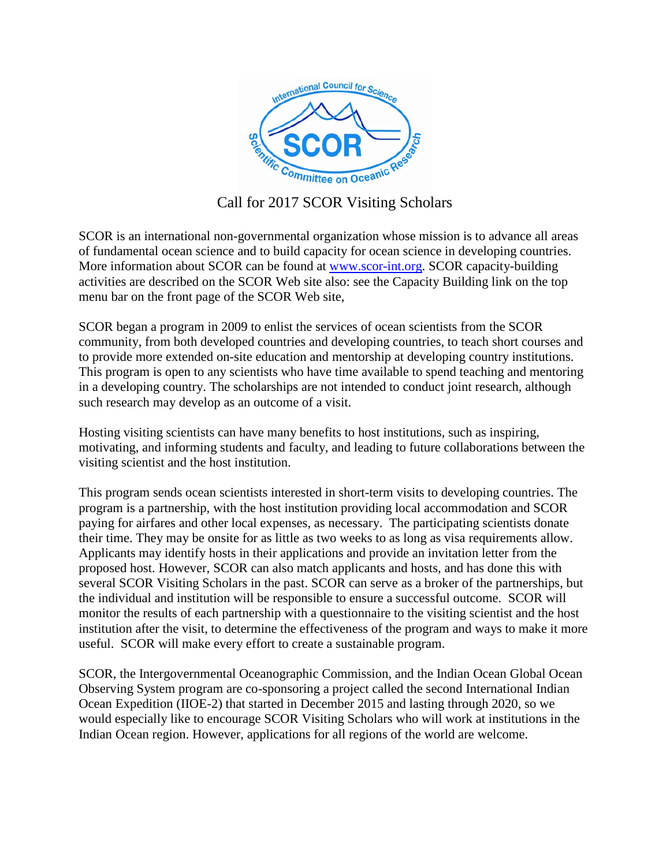

# Call for 2017 SCOR Visiting Scholars

SCOR is an international non-governmental organization whose mission is to advance all areas of fundamental ocean science and to build capacity for ocean science in developing countries. More information about SCOR can be found at [www.scor-int.org.](http://www.scor-int.org/) SCOR capacity-building activities are described on the SCOR Web site also: see the Capacity Building link on the top menu bar on the front page of the SCOR Web site,

SCOR began a program in 2009 to enlist the services of ocean scientists from the SCOR community, from both developed countries and developing countries, to teach short courses and to provide more extended on-site education and mentorship at developing country institutions. This program is open to any scientists who have time available to spend teaching and mentoring in a developing country. The scholarships are not intended to conduct joint research, although such research may develop as an outcome of a visit.

Hosting visiting scientists can have many benefits to host institutions, such as inspiring, motivating, and informing students and faculty, and leading to future collaborations between the visiting scientist and the host institution.

This program sends ocean scientists interested in short-term visits to developing countries. The program is a partnership, with the host institution providing local accommodation and SCOR paying for airfares and other local expenses, as necessary. The participating scientists donate their time. They may be onsite for as little as two weeks to as long as visa requirements allow. Applicants may identify hosts in their applications and provide an invitation letter from the proposed host. However, SCOR can also match applicants and hosts, and has done this with several SCOR Visiting Scholars in the past. SCOR can serve as a broker of the partnerships, but the individual and institution will be responsible to ensure a successful outcome. SCOR will monitor the results of each partnership with a questionnaire to the visiting scientist and the host institution after the visit, to determine the effectiveness of the program and ways to make it more useful. SCOR will make every effort to create a sustainable program.

SCOR, the Intergovernmental Oceanographic Commission, and the Indian Ocean Global Ocean Observing System program are co-sponsoring a project called the second International Indian Ocean Expedition (IIOE-2) that started in December 2015 and lasting through 2020, so we would especially like to encourage SCOR Visiting Scholars who will work at institutions in the Indian Ocean region. However, applications for all regions of the world are welcome.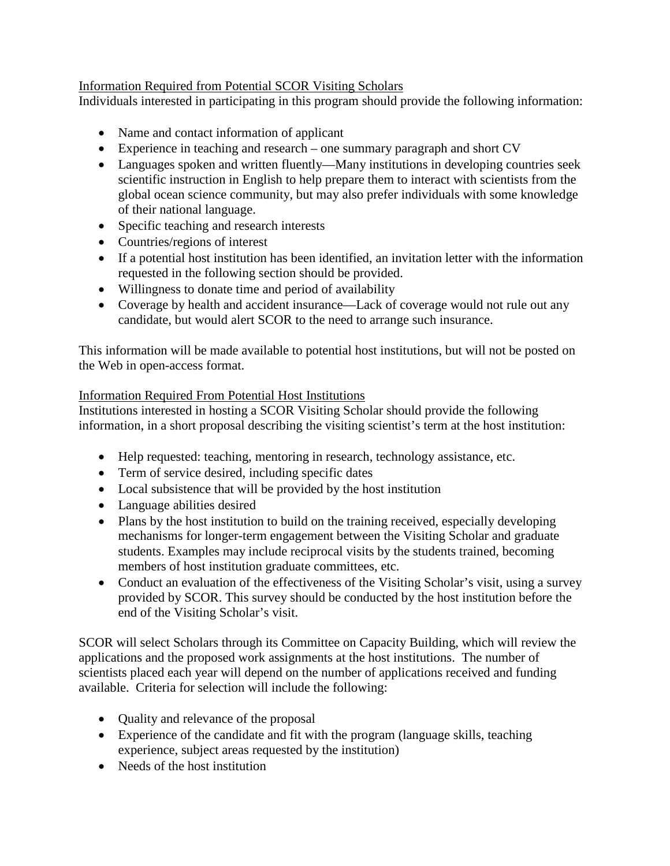### Information Required from Potential SCOR Visiting Scholars

Individuals interested in participating in this program should provide the following information:

- Name and contact information of applicant
- Experience in teaching and research one summary paragraph and short CV
- Languages spoken and written fluently—Many institutions in developing countries seek scientific instruction in English to help prepare them to interact with scientists from the global ocean science community, but may also prefer individuals with some knowledge of their national language.
- Specific teaching and research interests
- Countries/regions of interest
- If a potential host institution has been identified, an invitation letter with the information requested in the following section should be provided.
- Willingness to donate time and period of availability
- Coverage by health and accident insurance—Lack of coverage would not rule out any candidate, but would alert SCOR to the need to arrange such insurance.

This information will be made available to potential host institutions, but will not be posted on the Web in open-access format.

# Information Required From Potential Host Institutions

Institutions interested in hosting a SCOR Visiting Scholar should provide the following information, in a short proposal describing the visiting scientist's term at the host institution:

- Help requested: teaching, mentoring in research, technology assistance, etc.
- Term of service desired, including specific dates
- Local subsistence that will be provided by the host institution
- Language abilities desired
- Plans by the host institution to build on the training received, especially developing mechanisms for longer-term engagement between the Visiting Scholar and graduate students. Examples may include reciprocal visits by the students trained, becoming members of host institution graduate committees, etc.
- Conduct an evaluation of the effectiveness of the Visiting Scholar's visit, using a survey provided by SCOR. This survey should be conducted by the host institution before the end of the Visiting Scholar's visit.

SCOR will select Scholars through its Committee on Capacity Building, which will review the applications and the proposed work assignments at the host institutions. The number of scientists placed each year will depend on the number of applications received and funding available. Criteria for selection will include the following:

- Quality and relevance of the proposal
- Experience of the candidate and fit with the program (language skills, teaching experience, subject areas requested by the institution)
- Needs of the host institution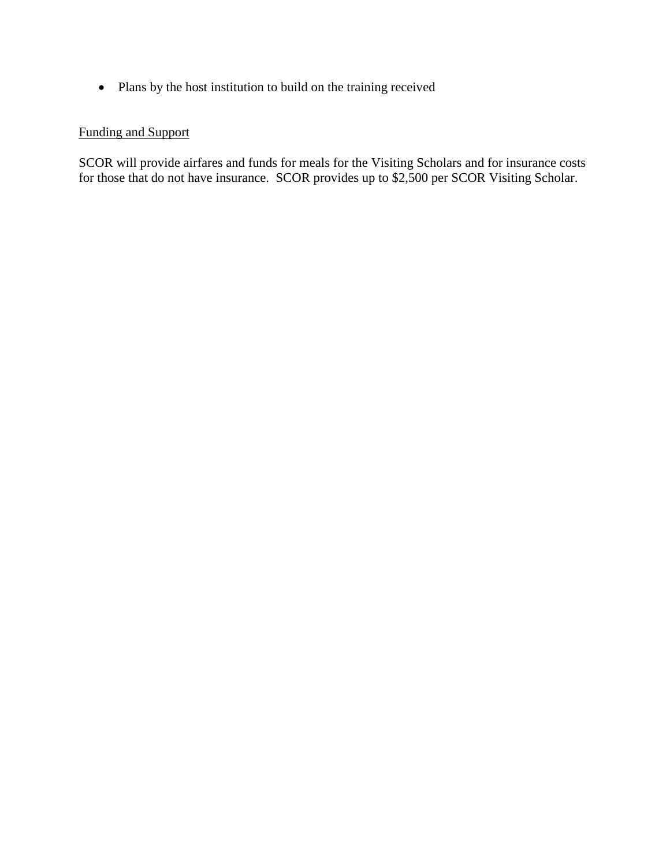• Plans by the host institution to build on the training received

## Funding and Support

SCOR will provide airfares and funds for meals for the Visiting Scholars and for insurance costs for those that do not have insurance. SCOR provides up to \$2,500 per SCOR Visiting Scholar.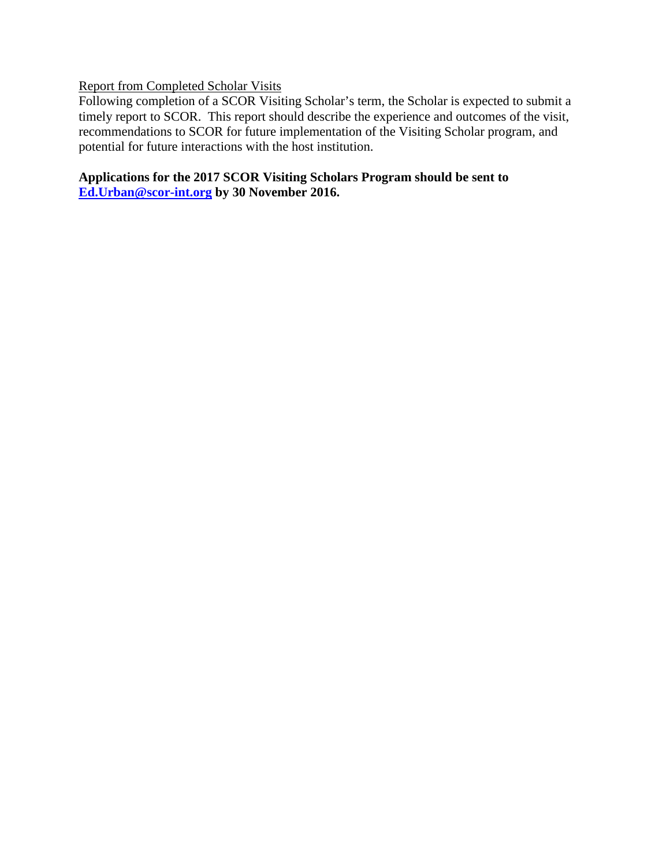#### Report from Completed Scholar Visits

Following completion of a SCOR Visiting Scholar's term, the Scholar is expected to submit a timely report to SCOR. This report should describe the experience and outcomes of the visit, recommendations to SCOR for future implementation of the Visiting Scholar program, and potential for future interactions with the host institution.

### **Applications for the 2017 SCOR Visiting Scholars Program should be sent to [Ed.Urban@scor-int.org](mailto:Ed.Urban@scor-int.org) by 30 November 2016.**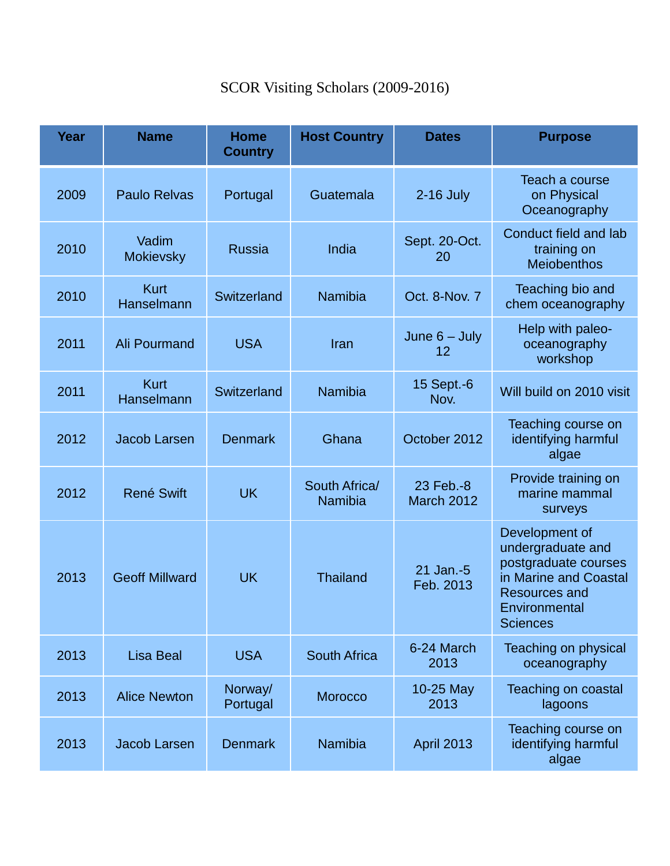| Year | <b>Name</b>                      | <b>Home</b><br><b>Country</b> | <b>Host Country</b>      | <b>Dates</b>                   | <b>Purpose</b>                                                                                                                                   |
|------|----------------------------------|-------------------------------|--------------------------|--------------------------------|--------------------------------------------------------------------------------------------------------------------------------------------------|
| 2009 | <b>Paulo Relvas</b>              | Portugal                      | Guatemala                | $2-16$ July                    | Teach a course<br>on Physical<br>Oceanography                                                                                                    |
| 2010 | Vadim<br><b>Mokievsky</b>        | <b>Russia</b>                 | India                    | Sept. 20-Oct.<br>20            | Conduct field and lab<br>training on<br><b>Meiobenthos</b>                                                                                       |
| 2010 | <b>Kurt</b><br><b>Hanselmann</b> | Switzerland                   | <b>Namibia</b>           | Oct. 8-Nov. 7                  | Teaching bio and<br>chem oceanography                                                                                                            |
| 2011 | Ali Pourmand                     | <b>USA</b>                    | Iran                     | June $6 -$ July<br>12          | Help with paleo-<br>oceanography<br>workshop                                                                                                     |
| 2011 | <b>Kurt</b><br>Hanselmann        | Switzerland                   | <b>Namibia</b>           | 15 Sept.-6<br>Nov.             | Will build on 2010 visit                                                                                                                         |
| 2012 | <b>Jacob Larsen</b>              | <b>Denmark</b>                | Ghana                    | October 2012                   | Teaching course on<br>identifying harmful<br>algae                                                                                               |
| 2012 | <b>René Swift</b>                | <b>UK</b>                     | South Africa/<br>Namibia | 23 Feb.-8<br><b>March 2012</b> | Provide training on<br>marine mammal<br>surveys                                                                                                  |
| 2013 | <b>Geoff Millward</b>            | <b>UK</b>                     | <b>Thailand</b>          | 21 Jan.-5<br>Feb. 2013         | Development of<br>undergraduate and<br>postgraduate courses<br>in Marine and Coastal<br><b>Resources and</b><br>Environmental<br><b>Sciences</b> |
| 2013 | <b>Lisa Beal</b>                 | <b>USA</b>                    | <b>South Africa</b>      | 6-24 March<br>2013             | Teaching on physical<br>oceanography                                                                                                             |
| 2013 | <b>Alice Newton</b>              | Norway/<br>Portugal           | Morocco                  | 10-25 May<br>2013              | Teaching on coastal<br>lagoons                                                                                                                   |
| 2013 | <b>Jacob Larsen</b>              | <b>Denmark</b>                | <b>Namibia</b>           | <b>April 2013</b>              | Teaching course on<br>identifying harmful<br>algae                                                                                               |

# SCOR Visiting Scholars (2009-2016)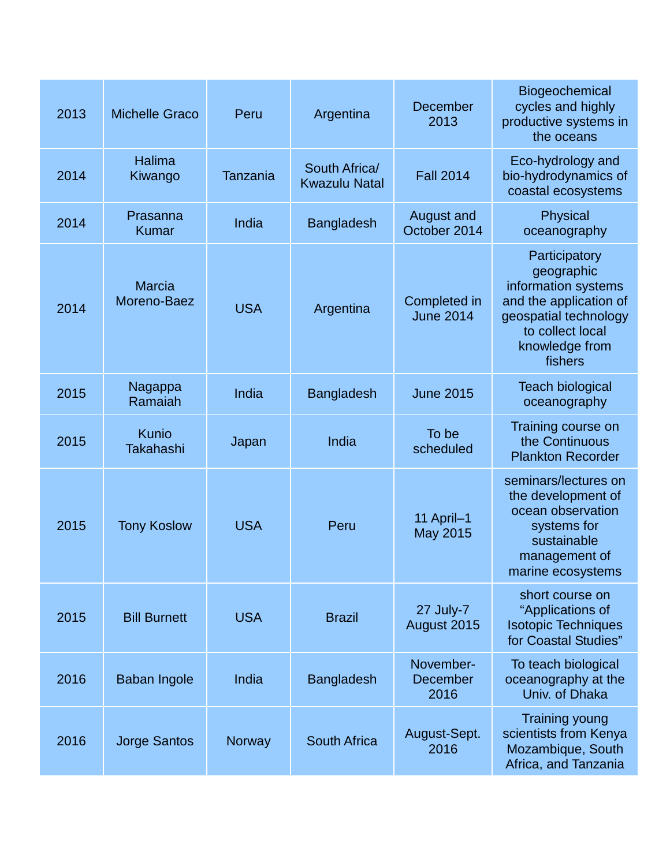| 2013 | <b>Michelle Graco</b>            | Peru            | Argentina                             | December<br>2013                 | Biogeochemical<br>cycles and highly<br>productive systems in<br>the oceans                                                                             |
|------|----------------------------------|-----------------|---------------------------------------|----------------------------------|--------------------------------------------------------------------------------------------------------------------------------------------------------|
| 2014 | <b>Halima</b><br>Kiwango         | <b>Tanzania</b> | South Africa/<br><b>Kwazulu Natal</b> | <b>Fall 2014</b>                 | Eco-hydrology and<br>bio-hydrodynamics of<br>coastal ecosystems                                                                                        |
| 2014 | Prasanna<br><b>Kumar</b>         | India           | <b>Bangladesh</b>                     | August and<br>October 2014       | Physical<br>oceanography                                                                                                                               |
| 2014 | <b>Marcia</b><br>Moreno-Baez     | <b>USA</b>      | Argentina                             | Completed in<br><b>June 2014</b> | Participatory<br>geographic<br>information systems<br>and the application of<br>geospatial technology<br>to collect local<br>knowledge from<br>fishers |
| 2015 | Nagappa<br>Ramaiah               | India           | <b>Bangladesh</b>                     | <b>June 2015</b>                 | <b>Teach biological</b><br>oceanography                                                                                                                |
| 2015 | <b>Kunio</b><br><b>Takahashi</b> | Japan           | India                                 | To be<br>scheduled               | Training course on<br>the Continuous<br><b>Plankton Recorder</b>                                                                                       |
| 2015 | <b>Tony Koslow</b>               | <b>USA</b>      | Peru                                  | 11 April-1<br>May 2015           | seminars/lectures on<br>the development of<br>ocean observation<br>systems for<br>sustainable<br>management of<br>marine ecosystems                    |
| 2015 | <b>Bill Burnett</b>              | <b>USA</b>      | <b>Brazil</b>                         | 27 July-7<br>August 2015         | short course on<br>"Applications of<br><b>Isotopic Techniques</b><br>for Coastal Studies"                                                              |
| 2016 | <b>Baban Ingole</b>              | India           | <b>Bangladesh</b>                     | November-<br>December<br>2016    | To teach biological<br>oceanography at the<br>Univ. of Dhaka                                                                                           |
| 2016 | <b>Jorge Santos</b>              | Norway          | <b>South Africa</b>                   | August-Sept.<br>2016             | Training young<br>scientists from Kenya<br>Mozambique, South<br>Africa, and Tanzania                                                                   |